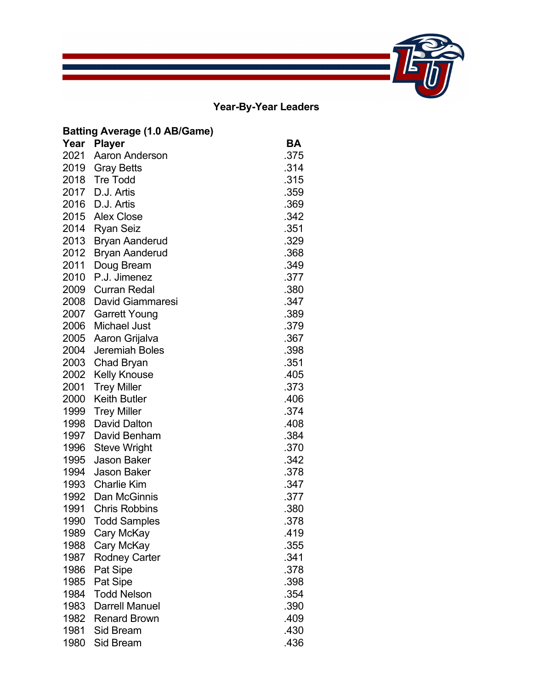# **Year-By-Year Leaders**

 $\mathcal{L}_{\mathcal{A}}$  and  $\mathcal{L}_{\mathcal{A}}$  are the set of the set of  $\mathcal{L}_{\mathcal{A}}$ 

|      | <b>Batting Average (1.0 AB/Game)</b> |      |
|------|--------------------------------------|------|
|      | Year Player                          | BА   |
| 2021 | Aaron Anderson                       | .375 |
| 2019 | <b>Gray Betts</b>                    | .314 |
| 2018 | <b>Tre Todd</b>                      | .315 |
| 2017 | D.J. Artis                           | .359 |
| 2016 | D.J. Artis                           | .369 |
| 2015 | <b>Alex Close</b>                    | .342 |
| 2014 | <b>Ryan Seiz</b>                     | .351 |
| 2013 | <b>Bryan Aanderud</b>                | .329 |
| 2012 | <b>Bryan Aanderud</b>                | .368 |
| 2011 | Doug Bream                           | .349 |
| 2010 | P.J. Jimenez                         | .377 |
| 2009 | <b>Curran Redal</b>                  | .380 |
| 2008 | <b>David Giammaresi</b>              | .347 |
| 2007 | <b>Garrett Young</b>                 | .389 |
| 2006 | <b>Michael Just</b>                  | .379 |
| 2005 | Aaron Grijalva                       | .367 |
| 2004 | <b>Jeremiah Boles</b>                | .398 |
| 2003 | Chad Bryan                           | .351 |
| 2002 | <b>Kelly Knouse</b>                  | .405 |
| 2001 | <b>Trey Miller</b>                   | .373 |
| 2000 | <b>Keith Butler</b>                  | .406 |
| 1999 | <b>Trey Miller</b>                   | .374 |
| 1998 | <b>David Dalton</b>                  | .408 |
| 1997 | David Benham                         | .384 |
| 1996 | <b>Steve Wright</b>                  | .370 |
| 1995 | <b>Jason Baker</b>                   | .342 |
| 1994 | <b>Jason Baker</b>                   | .378 |
| 1993 | <b>Charlie Kim</b>                   | .347 |
| 1992 | Dan McGinnis                         | .377 |
| 1991 | <b>Chris Robbins</b>                 | .380 |
| 1990 | <b>Todd Samples</b>                  | .378 |
| 1989 | Cary McKay                           | .419 |
| 1988 | Cary McKay                           | .355 |
| 1987 | <b>Rodney Carter</b>                 | .341 |
| 1986 | Pat Sipe                             | .378 |
| 1985 | Pat Sipe                             | .398 |
| 1984 | <b>Todd Nelson</b>                   | .354 |
| 1983 | <b>Darrell Manuel</b>                | .390 |
| 1982 | <b>Renard Brown</b>                  | .409 |
| 1981 | Sid Bream                            | .430 |
| 1980 | <b>Sid Bream</b>                     | .436 |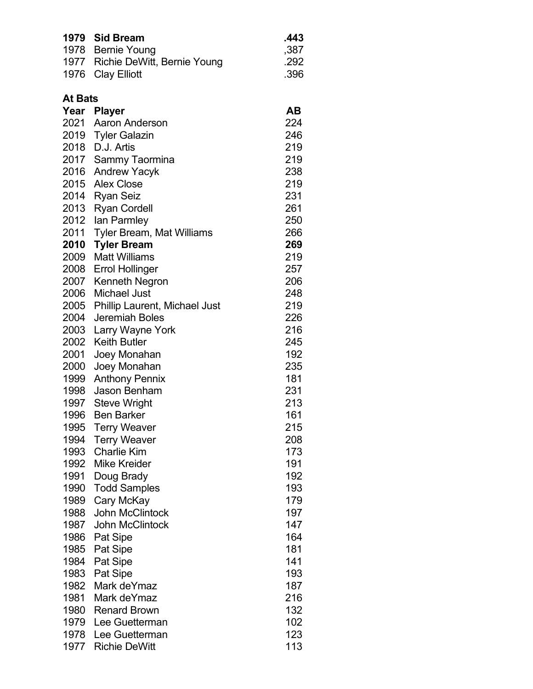| 1979           | <b>Sid Bream</b>                 | .443 |
|----------------|----------------------------------|------|
|                | 1978 Bernie Young                | ,387 |
| 1977           | Richie DeWitt, Bernie Young      | .292 |
| 1976           | <b>Clay Elliott</b>              | .396 |
|                |                                  |      |
| <b>At Bats</b> |                                  |      |
|                | Year Player                      | AВ   |
| 2021           | Aaron Anderson                   | 224  |
| 2019           | <b>Tyler Galazin</b>             | 246  |
| 2018           | D.J. Artis                       | 219  |
| 2017           | Sammy Taormina                   | 219  |
| 2016           | <b>Andrew Yacyk</b>              | 238  |
| 2015           | <b>Alex Close</b>                | 219  |
| 2014           | <b>Ryan Seiz</b>                 | 231  |
| 2013           | <b>Ryan Cordell</b>              | 261  |
| 2012           | lan Parmley                      | 250  |
| 2011           | <b>Tyler Bream, Mat Williams</b> | 266  |
| 2010           | <b>Tyler Bream</b>               | 269  |
| 2009           | <b>Matt Williams</b>             | 219  |
| 2008           | <b>Errol Hollinger</b>           | 257  |
| 2007           | Kenneth Negron                   | 206  |
| 2006           | <b>Michael Just</b>              | 248  |
| 2005           | Phillip Laurent, Michael Just    | 219  |
| 2004           | Jeremiah Boles                   | 226  |
| 2003           | Larry Wayne York                 | 216  |
| 2002           | <b>Keith Butler</b>              | 245  |
| 2001           | Joey Monahan                     | 192  |
| 2000           | Joey Monahan                     | 235  |
| 1999           | <b>Anthony Pennix</b>            | 181  |
| 1998           | Jason Benham                     | 231  |
| 1997           | <b>Steve Wright</b>              | 213  |
| 1996           | <b>Ben Barker</b>                | 161  |
| 1995           | <b>Terry Weaver</b>              | 215  |
| 1994           | <b>Terry Weaver</b>              | 208  |
| 1993           | <b>Charlie Kim</b>               | 173  |
| 1992           | <b>Mike Kreider</b>              | 191  |
| 1991           | Doug Brady                       | 192  |
| 1990           | <b>Todd Samples</b>              | 193  |
| 1989           | Cary McKay                       | 179  |
| 1988           | <b>John McClintock</b>           | 197  |
| 1987           | <b>John McClintock</b>           | 147  |
| 1986           | <b>Pat Sipe</b>                  | 164  |
| 1985           | Pat Sipe                         | 181  |
| 1984           | Pat Sipe                         | 141  |
| 1983           | <b>Pat Sipe</b>                  | 193  |
| 1982           | Mark deYmaz                      | 187  |
| 1981           | Mark deYmaz                      | 216  |
| 1980           | <b>Renard Brown</b>              | 132  |
| 1979           | Lee Guetterman                   | 102  |
| 1978           | Lee Guetterman                   | 123  |
| 1977           | <b>Richie DeWitt</b>             | 113  |
|                |                                  |      |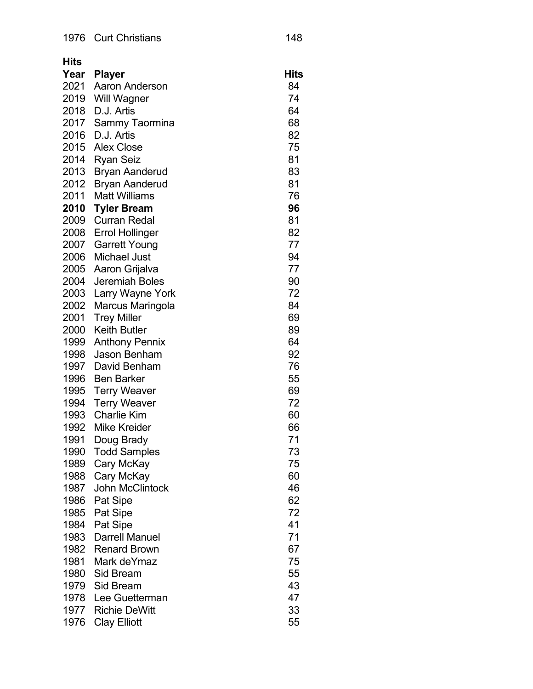| Hits         |                                    |          |
|--------------|------------------------------------|----------|
| Year         | <b>Player</b>                      | Hits     |
| 2021         | Aaron Anderson                     | 84       |
| 2019         | <b>Will Wagner</b>                 | 74       |
| 2018         | D.J. Artis                         | 64       |
| 2017         | Sammy Taormina                     | 68       |
| 2016         | D.J. Artis                         | 82       |
| 2015         | <b>Alex Close</b>                  | 75       |
| 2014         | <b>Ryan Seiz</b>                   | 81       |
| 2013         | <b>Bryan Aanderud</b>              | 83       |
| 2012         | <b>Bryan Aanderud</b>              | 81       |
| 2011         | <b>Matt Williams</b>               | 76       |
| 2010         | <b>Tyler Bream</b>                 | 96       |
| 2009         | <b>Curran Redal</b>                | 81       |
| 2008         | <b>Errol Hollinger</b>             | 82       |
| 2007         | <b>Garrett Young</b>               | 77       |
| 2006         | <b>Michael Just</b>                | 94       |
| 2005         | Aaron Grijalva                     | 77       |
| 2004         | Jeremiah Boles                     | 90       |
| 2003         | Larry Wayne York                   | 72       |
| 2002         | Marcus Maringola                   | 84       |
| 2001         | <b>Trey Miller</b>                 | 69       |
| 2000         | <b>Keith Butler</b>                | 89       |
| 1999         | <b>Anthony Pennix</b>              | 64       |
| 1998         | Jason Benham                       | 92       |
| 1997         | David Benham                       | 76       |
| 1996         | <b>Ben Barker</b>                  | 55       |
| 1995         | <b>Terry Weaver</b>                | 69       |
| 1994         | <b>Terry Weaver</b>                | 72       |
| 1993         | <b>Charlie Kim</b>                 | 60       |
| 1992         | <b>Mike Kreider</b>                | 66       |
| 1991         | Doug Brady                         | 71       |
| 1990         | <b>Todd Samples</b>                | 73       |
| 1989         | Cary McKay                         | 75       |
| 1988         | Cary McKay                         | 60       |
| 1987         | <b>John McClintock</b>             | 46       |
| 1986         | Pat Sipe                           | 62       |
| 1985         | Pat Sipe                           | 72<br>41 |
| 1984         | Pat Sipe<br><b>Darrell Manuel</b>  | 71       |
| 1983         |                                    |          |
| 1982<br>1981 | <b>Renard Brown</b><br>Mark deYmaz | 67<br>75 |
| 1980         | Sid Bream                          | 55       |
| 1979         | Sid Bream                          | 43       |
| 1978         | Lee Guetterman                     | 47       |
| 1977         | <b>Richie DeWitt</b>               | 33       |
| 1976         | <b>Clay Elliott</b>                | 55       |
|              |                                    |          |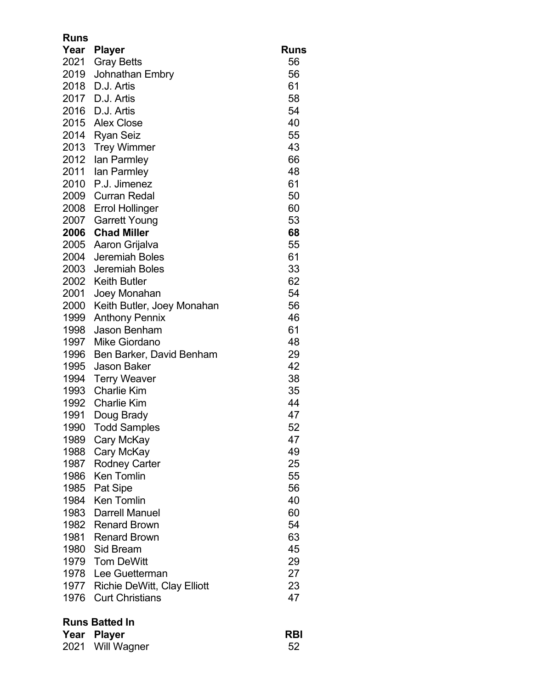| <b>Runs</b> |                                    |             |
|-------------|------------------------------------|-------------|
| Year        | <b>Player</b>                      | <b>Runs</b> |
| 2021        | <b>Gray Betts</b>                  | 56          |
| 2019        | Johnathan Embry                    | 56          |
| 2018        | D.J. Artis                         | 61          |
| 2017        | D.J. Artis                         | 58          |
| 2016        | D.J. Artis                         | 54          |
| 2015        | <b>Alex Close</b>                  | 40          |
| 2014        | <b>Ryan Seiz</b>                   | 55          |
| 2013        | <b>Trey Wimmer</b>                 | 43          |
| 2012        | lan Parmley                        | 66          |
| 2011        | lan Parmley                        | 48          |
| 2010        | P.J. Jimenez                       | 61          |
| 2009        | <b>Curran Redal</b>                | 50          |
| 2008        | <b>Errol Hollinger</b>             | 60          |
| 2007        | <b>Garrett Young</b>               | 53          |
| 2006        | <b>Chad Miller</b>                 | 68          |
| 2005        | Aaron Grijalva                     | 55          |
| 2004        | <b>Jeremiah Boles</b>              | 61          |
| 2003        | <b>Jeremiah Boles</b>              | 33          |
| 2002        | <b>Keith Butler</b>                | 62          |
| 2001        | Joey Monahan                       | 54          |
| 2000        | Keith Butler, Joey Monahan         | 56          |
| 1999        | <b>Anthony Pennix</b>              | 46          |
| 1998        | <b>Jason Benham</b>                | 61          |
| 1997        | Mike Giordano                      | 48          |
| 1996        | Ben Barker, David Benham           | 29          |
| 1995        | <b>Jason Baker</b>                 | 42          |
| 1994        | <b>Terry Weaver</b>                | 38          |
| 1993        | <b>Charlie Kim</b>                 | 35          |
| 1992        | <b>Charlie Kim</b>                 | 44          |
| 1991        | Doug Brady                         | 47          |
| 1990        | <b>Todd Samples</b>                | 52          |
| 1989        | Cary McKay                         | 47          |
| 1988        | Cary McKay                         | 49          |
| 1987        | <b>Rodney Carter</b>               | 25          |
| 1986        | <b>Ken Tomlin</b>                  | 55          |
| 1985        | Pat Sipe                           | 56          |
| 1984        | <b>Ken Tomlin</b>                  | 40          |
| 1983        | <b>Darrell Manuel</b>              | 60          |
| 1982        | <b>Renard Brown</b>                | 54          |
| 1981        | <b>Renard Brown</b>                | 63          |
| 1980        | Sid Bream                          | 45          |
| 1979        | <b>Tom DeWitt</b>                  | 29          |
| 1978        | Lee Guetterman                     | 27          |
| 1977        | <b>Richie DeWitt, Clay Elliott</b> | 23          |
| 1976        | <b>Curt Christians</b>             | 47          |
|             |                                    |             |

# **Runs Batted In**

| Year Player      | <b>RBI</b> |
|------------------|------------|
| 2021 Will Wagner | 52         |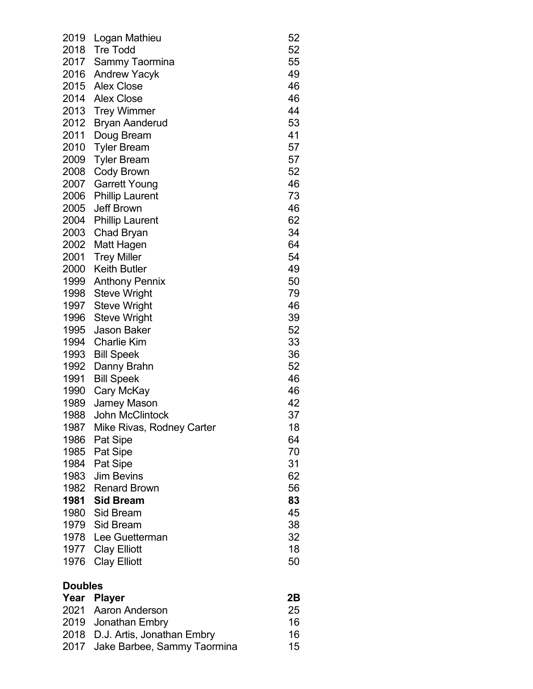| 2019           | Logan Mathieu             | 52 |
|----------------|---------------------------|----|
| 2018           | <b>Tre Todd</b>           | 52 |
| 2017           | Sammy Taormina            | 55 |
| 2016           | <b>Andrew Yacyk</b>       | 49 |
| 2015           | <b>Alex Close</b>         | 46 |
| 2014           | <b>Alex Close</b>         | 46 |
| 2013           | <b>Trey Wimmer</b>        | 44 |
| 2012           | <b>Bryan Aanderud</b>     | 53 |
| 2011           | Doug Bream                | 41 |
| 2010           | <b>Tyler Bream</b>        | 57 |
| 2009           | <b>Tyler Bream</b>        | 57 |
| 2008           | <b>Cody Brown</b>         | 52 |
| 2007           | <b>Garrett Young</b>      | 46 |
| 2006           | <b>Phillip Laurent</b>    | 73 |
| 2005           | <b>Jeff Brown</b>         | 46 |
| 2004           | <b>Phillip Laurent</b>    | 62 |
| 2003           | <b>Chad Bryan</b>         | 34 |
| 2002           | Matt Hagen                | 64 |
| 2001           | <b>Trey Miller</b>        | 54 |
| 2000           | <b>Keith Butler</b>       | 49 |
| 1999           | <b>Anthony Pennix</b>     | 50 |
| 1998           | <b>Steve Wright</b>       | 79 |
| 1997           | <b>Steve Wright</b>       | 46 |
| 1996           | <b>Steve Wright</b>       | 39 |
| 1995           | <b>Jason Baker</b>        | 52 |
| 1994           | <b>Charlie Kim</b>        | 33 |
| 1993           | <b>Bill Speek</b>         | 36 |
| 1992           | Danny Brahn               | 52 |
| 1991           | <b>Bill Speek</b>         | 46 |
| 1990           | Cary McKay                | 46 |
| 1989           | <b>Jamey Mason</b>        | 42 |
| 1988           | <b>John McClintock</b>    | 37 |
| 1987           | Mike Rivas, Rodney Carter | 18 |
| 1986           | Pat Sipe                  | 64 |
| 1985           | Pat Sipe                  | 70 |
| 1984           | Pat Sipe                  | 31 |
| 1983           | <b>Jim Bevins</b>         | 62 |
| 1982           | <b>Renard Brown</b>       | 56 |
| 1981           | <b>Sid Bream</b>          | 83 |
| 1980           | Sid Bream                 | 45 |
|                | 1979 Sid Bream            | 38 |
| 1978           | Lee Guetterman            | 32 |
| 1977           | <b>Clay Elliott</b>       | 18 |
| 1976           | <b>Clay Elliott</b>       | 50 |
| <b>Doubles</b> |                           |    |

| Year Player                      | 2B |
|----------------------------------|----|
| 2021 Aaron Anderson              | 25 |
| 2019 Jonathan Embry              | 16 |
| 2018 D.J. Artis, Jonathan Embry  | 16 |
| 2017 Jake Barbee, Sammy Taormina | 15 |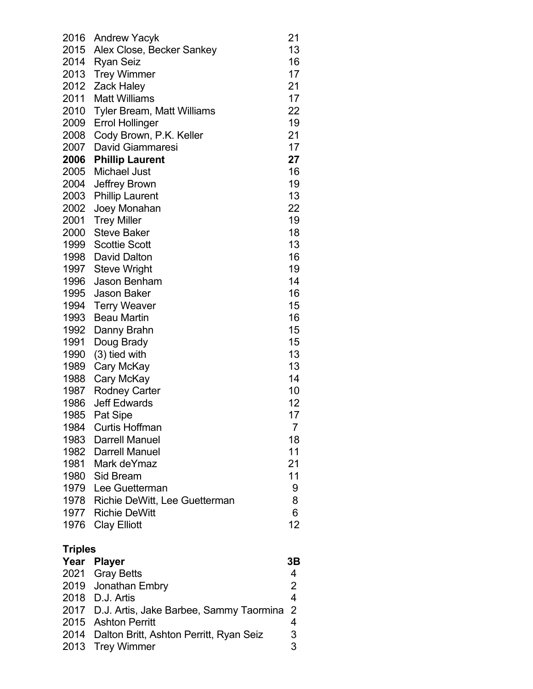| 2016           | <b>Andrew Yacyk</b>                          | 21                      |
|----------------|----------------------------------------------|-------------------------|
| 2015           | Alex Close, Becker Sankey                    | 13                      |
| 2014           | <b>Ryan Seiz</b>                             | 16                      |
| 2013           | <b>Trey Wimmer</b>                           | 17                      |
| 2012           | <b>Zack Haley</b>                            | 21                      |
| 2011           | <b>Matt Williams</b>                         | 17                      |
| 2010           | Tyler Bream, Matt Williams                   | 22                      |
| 2009           | <b>Errol Hollinger</b>                       | 19                      |
| 2008           | Cody Brown, P.K. Keller                      | 21                      |
| 2007           | David Giammaresi                             | 17                      |
| 2006           | <b>Phillip Laurent</b>                       | 27                      |
| 2005           | <b>Michael Just</b>                          | 16                      |
| 2004           | Jeffrey Brown                                | 19                      |
| 2003           | <b>Phillip Laurent</b>                       | 13                      |
| 2002           | Joey Monahan                                 | 22                      |
| 2001           | <b>Trey Miller</b>                           | 19                      |
| 2000           | <b>Steve Baker</b>                           | 18                      |
| 1999           | <b>Scottie Scott</b>                         | 13                      |
| 1998           | David Dalton                                 | 16                      |
| 1997           | <b>Steve Wright</b>                          | 19                      |
| 1996           | <b>Jason Benham</b>                          | 14                      |
| 1995           | <b>Jason Baker</b>                           | 16                      |
| 1994           | <b>Terry Weaver</b>                          | 15                      |
| 1993           | <b>Beau Martin</b>                           | 16                      |
| 1992           | Danny Brahn                                  | 15                      |
| 1991           | Doug Brady                                   | 15                      |
| 1990           | (3) tied with                                | 13                      |
| 1989           | Cary McKay                                   | 13                      |
| 1988           | Cary McKay                                   | 14                      |
| 1987           | <b>Rodney Carter</b>                         | 10                      |
| 1986           | <b>Jeff Edwards</b>                          | 12                      |
| 1985           | Pat Sipe                                     | 17                      |
| 1984           | <b>Curtis Hoffman</b>                        | 7                       |
|                | 1983 Darrell Manuel                          | 18                      |
|                | 1982 Darrell Manuel                          | 11                      |
|                | 1981 Mark deYmaz                             | 21                      |
|                | 1980 Sid Bream                               | 11                      |
|                | 1979 Lee Guetterman                          | 9                       |
|                | 1978 Richie DeWitt, Lee Guetterman           | 8                       |
|                | 1977 Richie DeWitt                           | 6                       |
|                | 1976 Clay Elliott                            | 12                      |
| <b>Triples</b> |                                              |                         |
| Year           | <b>Player</b>                                | 3Β                      |
| 2021           | <b>Gray Betts</b>                            | 4                       |
|                | 2019 Jonathan Embry                          | $\overline{2}$          |
|                | 2018 D.J. Artis                              | $\overline{\mathbf{4}}$ |
|                | 2017 D.J. Artis, Jake Barbee, Sammy Taormina | $\overline{2}$          |
|                | 2015 Ashton Perritt                          | 4                       |

2014 Dalton Britt, Ashton Perritt, Ryan Seiz 3 2013 Trey Wimmer 3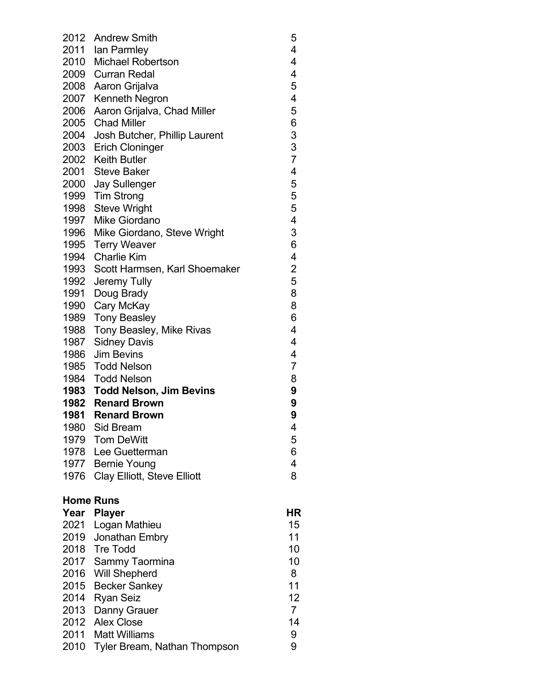|      | 2012 Andrew Smith                  | 5                                          |
|------|------------------------------------|--------------------------------------------|
|      | 2011 Ian Parmley                   | 4                                          |
|      | 2010 Michael Robertson             | $\overline{\mathbf{4}}$                    |
|      | 2009 Curran Redal                  | $\overline{\mathcal{A}}$                   |
|      | 2008 Aaron Grijalva                | 5                                          |
|      | 2007 Kenneth Negron                | 4                                          |
|      | 2006 Aaron Grijalva, Chad Miller   | 5                                          |
|      | 2005 Chad Miller                   | 6                                          |
|      | 2004 Josh Butcher, Phillip Laurent |                                            |
|      | 2003 Erich Cloninger               | $\begin{array}{c} 3 \\ 3 \\ 7 \end{array}$ |
|      | 2002 Keith Butler                  |                                            |
|      | 2001 Steve Baker                   | 4                                          |
|      | 2000 Jay Sullenger                 | 5                                          |
|      | 1999 Tim Strong                    | 5                                          |
|      | 1998 Steve Wright                  | 5                                          |
|      | 1997 Mike Giordano                 | 4                                          |
|      | 1996 Mike Giordano, Steve Wright   | 3                                          |
|      | 1995 Terry Weaver                  | 6                                          |
|      | 1994 Charlie Kim                   | 4                                          |
|      | 1993 Scott Harmsen, Karl Shoemaker | $\overline{c}$                             |
|      | 1992 Jeremy Tully                  | 5                                          |
|      | 1991 Doug Brady                    | 8                                          |
| 1990 | Cary McKay                         | 8                                          |
| 1989 | <b>Tony Beasley</b>                | 6                                          |
| 1988 | Tony Beasley, Mike Rivas           | 4                                          |
| 1987 | <b>Sidney Davis</b>                | 4                                          |
|      | 1986 Jim Bevins                    | $\overline{\mathbf{4}}$                    |
|      | 1985 Todd Nelson                   | $\overline{7}$                             |
|      | 1984 Todd Nelson                   | 8                                          |
|      | 1983 Todd Nelson, Jim Bevins       | 9                                          |
|      | 1982 Renard Brown                  | 9                                          |
|      | 1981 Renard Brown                  | 9                                          |
| 1980 | <b>Sid Bream</b>                   | 4                                          |
|      | 1979 Tom DeWitt                    | 5                                          |
|      | 1978 Lee Guetterman                | 6<br>$\overline{\mathbf{4}}$               |
|      | 1977 Bernie Young                  | 8                                          |
| 1976 | Clay Elliott, Steve Elliott        |                                            |
|      | <b>Home Runs</b>                   |                                            |
|      | Year Player                        | HR                                         |
| 2021 | Logan Mathieu                      | 15                                         |
| 2019 | Jonathan Embry                     | 11                                         |
|      | 2018 Tre Todd                      | 10                                         |
| 2017 | Sammy Taormina                     | 10                                         |
| 2016 | <b>Will Shepherd</b>               | 8                                          |
| 2015 | <b>Becker Sankey</b>               | 11                                         |
| 2014 | <b>Ryan Seiz</b>                   | 12                                         |
| 2013 | Danny Grauer                       | $\overline{7}$                             |
| 2012 | <b>Alex Close</b>                  | 14                                         |
| 2011 | <b>Matt Williams</b>               | 9                                          |
| 2010 | Tyler Bream, Nathan Thompson       | 9                                          |
|      |                                    |                                            |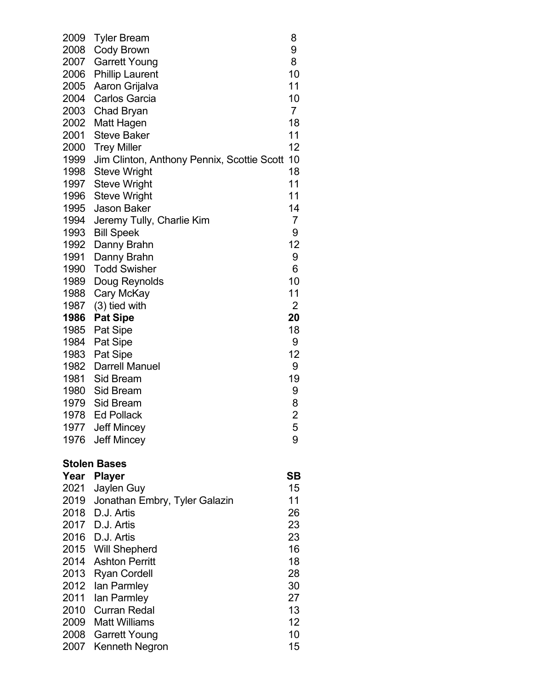| 2009 | Tyler Bream                                | 8              |
|------|--------------------------------------------|----------------|
| 2008 | Cody Brown                                 | 9              |
| 2007 | <b>Garrett Young</b>                       | 8              |
| 2006 | <b>Phillip Laurent</b>                     | 10             |
| 2005 | Aaron Grijalva                             | 11             |
| 2004 | <b>Carlos Garcia</b>                       | 10             |
| 2003 | Chad Bryan                                 | $\overline{7}$ |
| 2002 | Matt Hagen                                 | 18             |
| 2001 | <b>Steve Baker</b>                         | 11             |
| 2000 | <b>Trey Miller</b>                         | 12             |
| 1999 | Jim Clinton, Anthony Pennix, Scottie Scott | 10             |
| 1998 | <b>Steve Wright</b>                        | 18             |
| 1997 | <b>Steve Wright</b>                        | 11             |
| 1996 | <b>Steve Wright</b>                        | 11             |
| 1995 | <b>Jason Baker</b>                         | 14             |
| 1994 | Jeremy Tully, Charlie Kim                  | 7              |
| 1993 | <b>Bill Speek</b>                          | 9              |
| 1992 | Danny Brahn                                | 12             |
| 1991 | Danny Brahn                                | 9              |
| 1990 | <b>Todd Swisher</b>                        | 6              |
| 1989 | Doug Reynolds                              | 10             |
| 1988 | Cary McKay                                 | 11             |
| 1987 | $(3)$ tied with                            | 2              |
| 1986 | <b>Pat Sipe</b>                            | 20             |
| 1985 | <b>Pat Sipe</b>                            | 18             |
| 1984 | Pat Sipe                                   | 9              |
| 1983 | Pat Sipe                                   | 12             |
| 1982 | <b>Darrell Manuel</b>                      | 9              |
| 1981 | Sid Bream                                  | 19             |
| 1980 | Sid Bream                                  | 9              |
| 1979 | Sid Bream                                  | 8              |
| 1978 | <b>Ed Pollack</b>                          | $\overline{2}$ |
| 1977 | <b>Jeff Mincey</b>                         | 5              |
| 1976 | <b>Jeff Mincey</b>                         | 9              |
|      | <b>Stolen Bases</b>                        |                |
| Year | <b>Player</b>                              | <b>SB</b>      |
| 2021 | Jaylen Guy                                 | 15             |
| 2019 | Jonathan Embry, Tyler Galazin              | 11             |
| 2018 | D.J. Artis                                 | 26             |
|      | 2017 D.J. Artis                            | 23             |
|      | 2016 D.J. Artis                            | 23             |
| 2015 | <b>Will Shepherd</b>                       | 16             |
| 2014 | <b>Ashton Perritt</b>                      | 18             |
| 2013 | <b>Ryan Cordell</b>                        | 28             |
| 2012 | lan Parmley                                | 30             |
| 2011 | lan Parmley                                | 27             |
| 2010 | <b>Curran Redal</b>                        | 13             |
| 2009 | <b>Matt Williams</b>                       | 12             |
| 2008 | <b>Garrett Young</b>                       | 10             |
| 2007 | Kenneth Negron                             | 15             |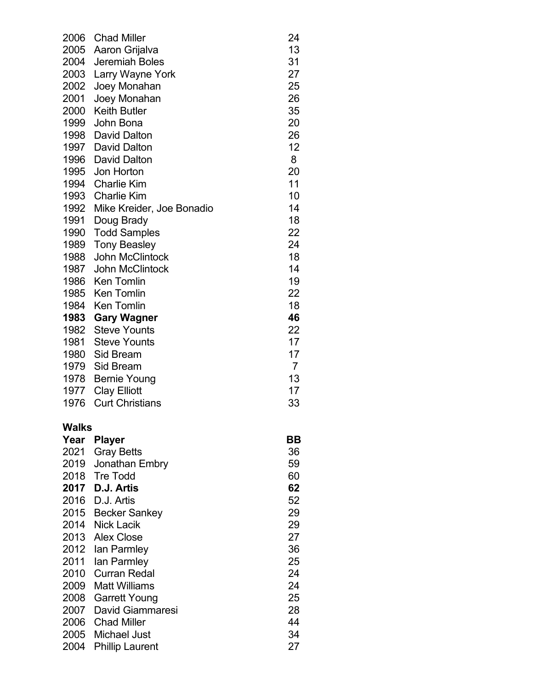| 2006         | <b>Chad Miller</b>                          | 24             |
|--------------|---------------------------------------------|----------------|
| 2005         | Aaron Grijalva                              | 13             |
| 2004         | Jeremiah Boles                              | 31             |
| 2003         | Larry Wayne York                            | 27             |
| 2002         | Joey Monahan                                | 25             |
| 2001         | Joey Monahan                                | 26             |
| 2000         | <b>Keith Butler</b>                         | 35             |
| 1999         | John Bona                                   | 20             |
| 1998         | <b>David Dalton</b>                         | 26             |
|              | 1997 David Dalton                           | 12             |
| 1996         | <b>David Dalton</b>                         | 8              |
| 1995         | Jon Horton                                  | 20             |
| 1994         | <b>Charlie Kim</b>                          | 11             |
| 1993         | <b>Charlie Kim</b>                          | 10             |
| 1992         | Mike Kreider, Joe Bonadio                   | 14             |
| 1991         | Doug Brady                                  | 18             |
| 1990         | <b>Todd Samples</b>                         | 22<br>24       |
| 1989         | <b>Tony Beasley</b><br>John McClintock      |                |
| 1988         |                                             | 18<br>14       |
| 1987         | <b>John McClintock</b><br><b>Ken Tomlin</b> | 19             |
| 1986<br>1985 | <b>Ken Tomlin</b>                           | 22             |
| 1984         | <b>Ken Tomlin</b>                           | 18             |
| 1983         | <b>Gary Wagner</b>                          | 46             |
| 1982         | <b>Steve Younts</b>                         | 22             |
| 1981         | <b>Steve Younts</b>                         | 17             |
| 1980         | Sid Bream                                   | 17             |
|              | 1979 Sid Bream                              | $\overline{7}$ |
| 1978         | <b>Bernie Young</b>                         | 13             |
| 1977         | <b>Clay Elliott</b>                         | 17             |
| 1976         | <b>Curt Christians</b>                      | 33             |
|              |                                             |                |
| Walks        |                                             |                |
| Year         | <b>Player</b>                               | BВ             |
| 2021         | <b>Gray Betts</b>                           | 36             |
| 2019         | Jonathan Embry                              | 59             |
| 2018         | <b>Tre Todd</b>                             | 60             |
| 2017         | D.J. Artis                                  | 62             |
| 2016         | D.J. Artis                                  | 52             |
| 2015         | <b>Becker Sankey</b>                        | 29             |
| 2014         | <b>Nick Lacik</b>                           | 29             |
| 2013         | <b>Alex Close</b>                           | 27             |
| 2012         | lan Parmley                                 | 36             |
| 2011         | lan Parmley                                 | 25             |
| 2010         | <b>Curran Redal</b>                         | 24             |
| 2009         | <b>Matt Williams</b>                        | 24             |
| 2008         | <b>Garrett Young</b>                        | 25             |
| 2007         | David Giammaresi                            | 28             |
|              | 2006 Chad Miller                            | 44             |
| 2005         | <b>Michael Just</b>                         | 34             |
| 2004         | <b>Phillip Laurent</b>                      | 27             |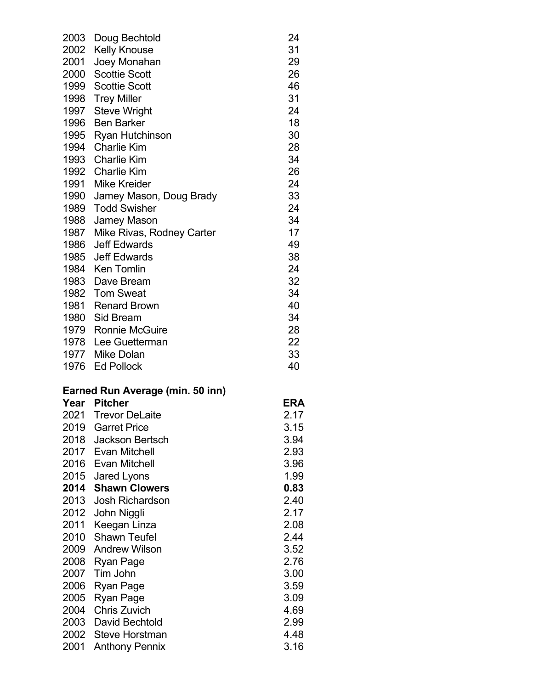| 2003 | Doug Bechtold                    | 24         |
|------|----------------------------------|------------|
| 2002 | <b>Kelly Knouse</b>              | 31         |
| 2001 | Joey Monahan                     | 29         |
| 2000 | <b>Scottie Scott</b>             | 26         |
| 1999 | <b>Scottie Scott</b>             | 46         |
| 1998 | <b>Trey Miller</b>               | 31         |
| 1997 | <b>Steve Wright</b>              | 24         |
| 1996 | <b>Ben Barker</b>                | 18         |
| 1995 | <b>Ryan Hutchinson</b>           | 30         |
| 1994 | <b>Charlie Kim</b>               | 28         |
| 1993 | <b>Charlie Kim</b>               | 34         |
| 1992 | <b>Charlie Kim</b>               | 26         |
| 1991 | <b>Mike Kreider</b>              | 24         |
| 1990 | Jamey Mason, Doug Brady          | 33         |
| 1989 | <b>Todd Swisher</b>              | 24         |
| 1988 | <b>Jamey Mason</b>               | 34         |
| 1987 | Mike Rivas, Rodney Carter        | 17         |
| 1986 | <b>Jeff Edwards</b>              | 49         |
| 1985 | <b>Jeff Edwards</b>              | 38         |
| 1984 | <b>Ken Tomlin</b>                | 24         |
| 1983 | Dave Bream                       | 32         |
| 1982 | <b>Tom Sweat</b>                 | 34         |
| 1981 | <b>Renard Brown</b>              | 40         |
| 1980 | Sid Bream                        | 34         |
|      | 1979 Ronnie McGuire              | 28         |
| 1978 | Lee Guetterman                   | 22         |
| 1977 | <b>Mike Dolan</b>                | 33         |
|      | 1976 Ed Pollock                  | 40         |
|      | Earned Run Average (min. 50 inn) |            |
|      | Year Pitcher                     | <b>ERA</b> |
|      | 2021 Trevor DeLaite              | 2.17       |
|      | 2019 Garret Price                | 3.15       |
| 2018 | <b>Jackson Bertsch</b>           | 3.94       |
|      | 2017 Evan Mitchell               | ר מ        |

| Jackson Bertsch                | ა.94 |
|--------------------------------|------|
| Evan Mitchell                  | 2.93 |
| 2016 Evan Mitchell             | 3.96 |
| 2015<br>Jared Lyons            | 1.99 |
| 2014<br><b>Shawn Clowers</b>   | 0.83 |
| 2013<br><b>Josh Richardson</b> | 2.40 |
| 2012<br>John Niggli            | 2.17 |
| 2011<br>Keegan Linza           | 2.08 |
| <b>Shawn Teufel</b>            | 2.44 |
| 2009<br><b>Andrew Wilson</b>   | 3.52 |
| 2008<br>Ryan Page              | 2.76 |
| 2007 Tim John                  | 3.00 |
| 2006<br>Ryan Page              | 3.59 |
| 2005<br>Ryan Page              | 3.09 |
| 2004<br><b>Chris Zuvich</b>    | 4.69 |
| 2003<br>David Bechtold         | 2.99 |
| Steve Horstman                 | 4.48 |
|                                |      |

2001 Anthony Pennix 3.16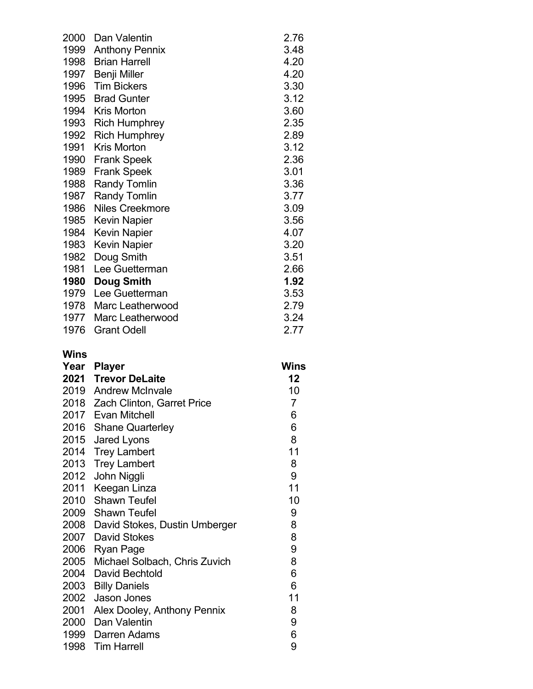| 2000 | Dan Valentin          | 2.76 |
|------|-----------------------|------|
| 1999 | <b>Anthony Pennix</b> | 3.48 |
| 1998 | <b>Brian Harrell</b>  | 4.20 |
| 1997 | Benji Miller          | 4.20 |
| 1996 | <b>Tim Bickers</b>    | 3.30 |
| 1995 | <b>Brad Gunter</b>    | 3.12 |
| 1994 | Kris Morton           | 3.60 |
| 1993 | <b>Rich Humphrey</b>  | 2.35 |
| 1992 | <b>Rich Humphrey</b>  | 2.89 |
| 1991 | <b>Kris Morton</b>    | 3.12 |
| 1990 | <b>Frank Speek</b>    | 2.36 |
| 1989 | <b>Frank Speek</b>    | 3.01 |
| 1988 | <b>Randy Tomlin</b>   | 3.36 |
| 1987 | <b>Randy Tomlin</b>   | 3.77 |
| 1986 | Niles Creekmore       | 3.09 |
| 1985 | <b>Kevin Napier</b>   | 3.56 |
| 1984 | <b>Kevin Napier</b>   | 4.07 |
| 1983 | Kevin Napier          | 3.20 |
| 1982 | Doug Smith            | 3.51 |
| 1981 | Lee Guetterman        | 2.66 |
| 1980 | Doug Smith            | 1.92 |
| 1979 | Lee Guetterman        | 3.53 |
| 1978 | Marc Leatherwood      | 2.79 |
| 1977 | Marc Leatherwood      | 3.24 |
| 1976 | <b>Grant Odell</b>    | 2.77 |

### **Wins**

| Year | <b>Player</b>                      | Wins |
|------|------------------------------------|------|
|      | 2021 Trevor DeLaite                | 12   |
|      | 2019 Andrew McInvale               | 10   |
|      | 2018 Zach Clinton, Garret Price    | 7    |
|      | 2017 Evan Mitchell                 | 6    |
| 2016 | <b>Shane Quarterley</b>            | 6    |
| 2015 | Jared Lyons                        | 8    |
| 2014 | <b>Trey Lambert</b>                | 11   |
| 2013 | <b>Trey Lambert</b>                | 8    |
| 2012 | John Niggli                        | 9    |
| 2011 | Keegan Linza                       | 11   |
| 2010 | <b>Shawn Teufel</b>                | 10   |
|      | 2009 Shawn Teufel                  | 9    |
|      | 2008 David Stokes, Dustin Umberger | 8    |
|      | 2007 David Stokes                  | 8    |
|      | 2006 Ryan Page                     | 9    |
| 2005 | Michael Solbach, Chris Zuvich      | 8    |
| 2004 | David Bechtold                     | 6    |
| 2003 | <b>Billy Daniels</b>               | 6    |
| 2002 | Jason Jones                        | 11   |
| 2001 | Alex Dooley, Anthony Pennix        | 8    |
|      | 2000 Dan Valentin                  | 9    |
| 1999 | Darren Adams                       | 6    |
| 1998 | <b>Tim Harrell</b>                 | 9    |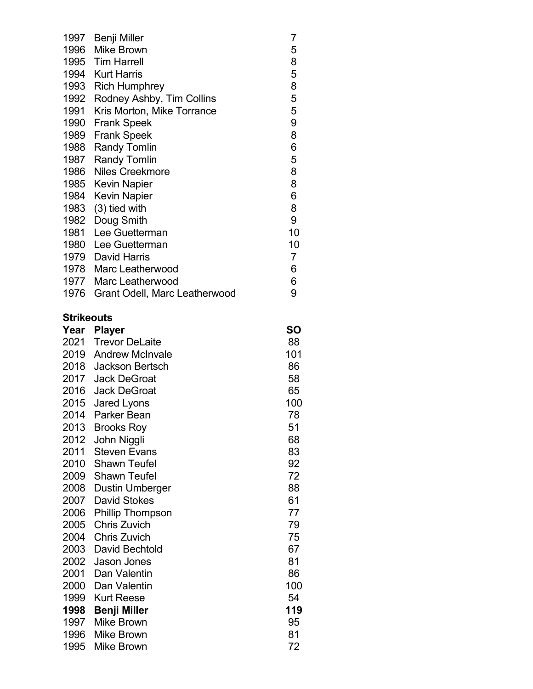| 1997 | Benji Miller                  | 7              |
|------|-------------------------------|----------------|
| 1996 | <b>Mike Brown</b>             | 5              |
| 1995 | <b>Tim Harrell</b>            | 8              |
| 1994 | <b>Kurt Harris</b>            | 5              |
| 1993 | <b>Rich Humphrey</b>          | 8              |
| 1992 | Rodney Ashby, Tim Collins     | 5              |
| 1991 | Kris Morton, Mike Torrance    | 5              |
| 1990 | <b>Frank Speek</b>            | 9              |
| 1989 | <b>Frank Speek</b>            | 8              |
| 1988 | <b>Randy Tomlin</b>           | 6              |
| 1987 | <b>Randy Tomlin</b>           | 5              |
| 1986 | <b>Niles Creekmore</b>        | 8              |
| 1985 | <b>Kevin Napier</b>           | 8              |
| 1984 | <b>Kevin Napier</b>           | 6              |
| 1983 | $(3)$ tied with               | 8              |
| 1982 | Doug Smith                    | 9              |
| 1981 | Lee Guetterman                | 10             |
| 1980 | Lee Guetterman                | 10             |
| 1979 | <b>David Harris</b>           | $\overline{7}$ |
| 1978 | Marc Leatherwood              | 6              |
| 1977 | Marc Leatherwood              | 6              |
| 1976 | Grant Odell, Marc Leatherwood | 9              |
|      |                               |                |

## **Strikeouts**

| Year | <b>Player</b>           | SO  |
|------|-------------------------|-----|
| 2021 | <b>Trevor DeLaite</b>   | 88  |
| 2019 | <b>Andrew McInvale</b>  | 101 |
| 2018 | <b>Jackson Bertsch</b>  | 86  |
| 2017 | <b>Jack DeGroat</b>     | 58  |
| 2016 | <b>Jack DeGroat</b>     | 65  |
| 2015 | Jared Lyons             | 100 |
| 2014 | Parker Bean             | 78  |
| 2013 | <b>Brooks Roy</b>       | 51  |
| 2012 | John Niggli             | 68  |
| 2011 | <b>Steven Evans</b>     | 83  |
| 2010 | <b>Shawn Teufel</b>     | 92  |
| 2009 | <b>Shawn Teufel</b>     | 72  |
| 2008 | <b>Dustin Umberger</b>  | 88  |
| 2007 | <b>David Stokes</b>     | 61  |
| 2006 | <b>Phillip Thompson</b> | 77  |
| 2005 | <b>Chris Zuvich</b>     | 79  |
| 2004 | <b>Chris Zuvich</b>     | 75  |
| 2003 | David Bechtold          | 67  |
| 2002 | Jason Jones             | 81  |
| 2001 | Dan Valentin            | 86  |
| 2000 | Dan Valentin            | 100 |
| 1999 | <b>Kurt Reese</b>       | 54  |
| 1998 | <b>Benji Miller</b>     | 119 |
| 1997 | <b>Mike Brown</b>       | 95  |
| 1996 | <b>Mike Brown</b>       | 81  |
| 1995 | Mike Brown              | 72  |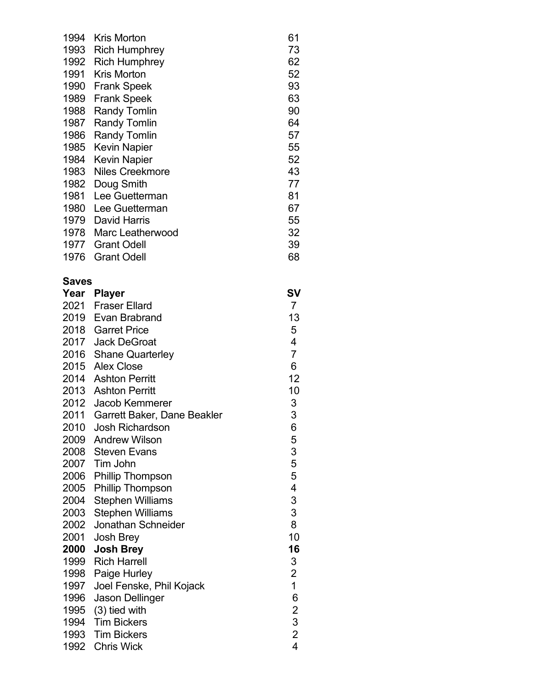| 1994 | <b>Kris Morton</b>     | 61 |
|------|------------------------|----|
| 1993 | <b>Rich Humphrey</b>   | 73 |
| 1992 | <b>Rich Humphrey</b>   | 62 |
| 1991 | Kris Morton            | 52 |
| 1990 | <b>Frank Speek</b>     | 93 |
| 1989 | <b>Frank Speek</b>     | 63 |
| 1988 | <b>Randy Tomlin</b>    | 90 |
| 1987 | <b>Randy Tomlin</b>    | 64 |
| 1986 | <b>Randy Tomlin</b>    | 57 |
| 1985 | <b>Kevin Napier</b>    | 55 |
| 1984 | <b>Kevin Napier</b>    | 52 |
| 1983 | <b>Niles Creekmore</b> | 43 |
| 1982 | Doug Smith             | 77 |
| 1981 | Lee Guetterman         | 81 |
| 1980 | Lee Guetterman         | 67 |
| 1979 | David Harris           | 55 |
| 1978 | Marc Leatherwood       | 32 |
| 1977 | <b>Grant Odell</b>     | 39 |
| 1976 | <b>Grant Odell</b>     | 68 |

## **Saves**

| Year | <b>Player</b>                    | SV                                    |
|------|----------------------------------|---------------------------------------|
|      | 2021 Fraser Ellard               | $\overline{7}$                        |
|      | 2019 Evan Brabrand               | 13                                    |
|      | 2018 Garret Price                | 5                                     |
|      | 2017 Jack DeGroat                | $\overline{\mathbf{4}}$               |
|      | 2016 Shane Quarterley            | $\overline{7}$                        |
|      | 2015 Alex Close                  | 6                                     |
|      | 2014 Ashton Perritt              | 12                                    |
|      | 2013 Ashton Perritt              | 10                                    |
|      | 2012 Jacob Kemmerer              | 3                                     |
|      | 2011 Garrett Baker, Dane Beakler |                                       |
| 2010 | <b>Josh Richardson</b>           | 3653554                               |
|      | 2009 Andrew Wilson               |                                       |
|      | 2008 Steven Evans                |                                       |
|      | 2007 Tim John                    |                                       |
| 2006 | <b>Phillip Thompson</b>          |                                       |
| 2005 | <b>Phillip Thompson</b>          |                                       |
| 2004 | <b>Stephen Williams</b>          | $\frac{3}{3}$                         |
| 2003 | <b>Stephen Williams</b>          |                                       |
| 2002 | Jonathan Schneider               | 8                                     |
| 2001 | Josh Brey                        | 10                                    |
| 2000 | <b>Josh Brey</b>                 | 16                                    |
| 1999 | <b>Rich Harrell</b>              | 3                                     |
| 1998 | Paige Hurley                     | $\begin{array}{c} 2 \\ 1 \end{array}$ |
| 1997 | Joel Fenske, Phil Kojack         |                                       |
| 1996 | <b>Jason Dellinger</b>           |                                       |
|      | 1995 (3) tied with               |                                       |
| 1994 | <b>Tim Bickers</b>               | 62324                                 |
|      | 1993 Tim Bickers                 |                                       |
|      | 1992 Chris Wick                  |                                       |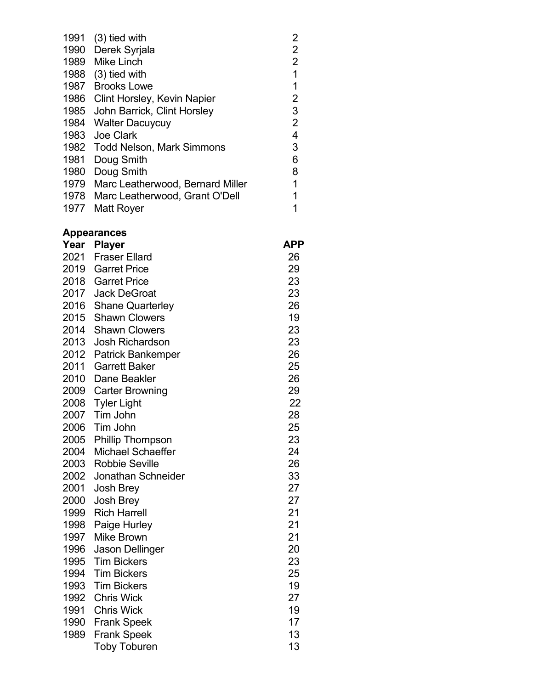| 1991 | $(3)$ tied with                  | 2 |
|------|----------------------------------|---|
| 1990 | Derek Syrjala                    | 2 |
| 1989 | <b>Mike Linch</b>                | 2 |
| 1988 | $(3)$ tied with                  | 1 |
| 1987 | <b>Brooks Lowe</b>               |   |
| 1986 | Clint Horsley, Kevin Napier      | 2 |
| 1985 | John Barrick, Clint Horsley      | 3 |
|      | 1984 Walter Dacuycuy             | 2 |
| 1983 | Joe Clark                        | 4 |
| 1982 | <b>Todd Nelson, Mark Simmons</b> | 3 |
| 1981 | Doug Smith                       | 6 |
| 1980 | Doug Smith                       | 8 |
| 1979 | Marc Leatherwood, Bernard Miller | 1 |
| 1978 | Marc Leatherwood, Grant O'Dell   |   |
| 1977 | Matt Royer                       |   |
|      |                                  |   |

#### **Appearances**

| Year | <b>Player</b>            | APP |
|------|--------------------------|-----|
| 2021 | <b>Fraser Ellard</b>     | 26  |
| 2019 | <b>Garret Price</b>      | 29  |
| 2018 | <b>Garret Price</b>      | 23  |
| 2017 | <b>Jack DeGroat</b>      | 23  |
| 2016 | <b>Shane Quarterley</b>  | 26  |
| 2015 | <b>Shawn Clowers</b>     | 19  |
| 2014 | <b>Shawn Clowers</b>     | 23  |
| 2013 | <b>Josh Richardson</b>   | 23  |
| 2012 | <b>Patrick Bankemper</b> | 26  |
| 2011 | <b>Garrett Baker</b>     | 25  |
| 2010 | Dane Beakler             | 26  |
| 2009 | <b>Carter Browning</b>   | 29  |
| 2008 | <b>Tyler Light</b>       | 22  |
| 2007 | Tim John                 | 28  |
| 2006 | Tim John                 | 25  |
| 2005 | <b>Phillip Thompson</b>  | 23  |
| 2004 | <b>Michael Schaeffer</b> | 24  |
| 2003 | <b>Robbie Seville</b>    | 26  |
| 2002 | Jonathan Schneider       | 33  |
| 2001 | <b>Josh Brey</b>         | 27  |
| 2000 | <b>Josh Brey</b>         | 27  |
| 1999 | <b>Rich Harrell</b>      | 21  |
| 1998 | Paige Hurley             | 21  |
| 1997 | <b>Mike Brown</b>        | 21  |
| 1996 | Jason Dellinger          | 20  |
| 1995 | <b>Tim Bickers</b>       | 23  |
| 1994 | <b>Tim Bickers</b>       | 25  |
| 1993 | <b>Tim Bickers</b>       | 19  |
| 1992 | <b>Chris Wick</b>        | 27  |
| 1991 | <b>Chris Wick</b>        | 19  |
| 1990 | <b>Frank Speek</b>       | 17  |
| 1989 | <b>Frank Speek</b>       | 13  |
|      | <b>Toby Toburen</b>      | 13  |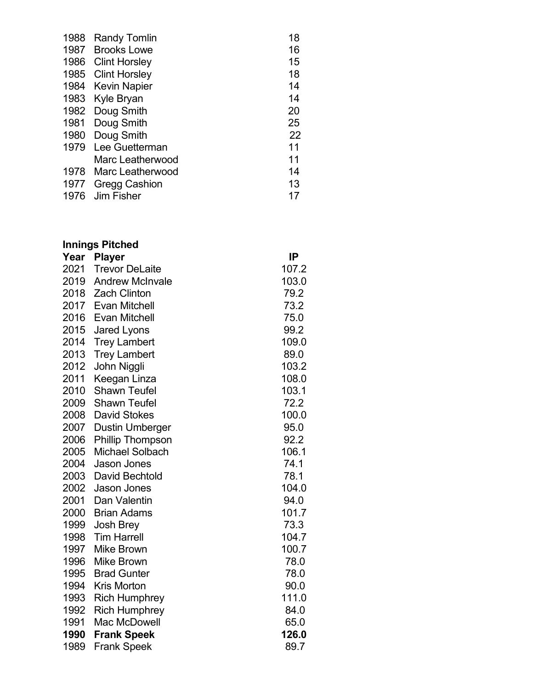| 1988 | <b>Randy Tomlin</b>  | 18 |
|------|----------------------|----|
| 1987 | <b>Brooks Lowe</b>   | 16 |
|      | 1986 Clint Horsley   | 15 |
|      | 1985 Clint Horsley   | 18 |
|      | 1984 Kevin Napier    | 14 |
| 1983 | Kyle Bryan           | 14 |
| 1982 | Doug Smith           | 20 |
| 1981 | Doug Smith           | 25 |
| 1980 | Doug Smith           | 22 |
| 1979 | Lee Guetterman       | 11 |
|      | Marc Leatherwood     | 11 |
| 1978 | Marc Leatherwood     | 14 |
| 1977 | <b>Gregg Cashion</b> | 13 |
| 1976 | Jim Fisher           | 17 |

# **Innings Pitched**

| Year | <b>Player</b>           | IP    |
|------|-------------------------|-------|
| 2021 | <b>Trevor DeLaite</b>   | 107.2 |
| 2019 | <b>Andrew McInvale</b>  | 103.0 |
| 2018 | <b>Zach Clinton</b>     | 79.2  |
| 2017 | <b>Evan Mitchell</b>    | 73.2  |
| 2016 | <b>Evan Mitchell</b>    | 75.0  |
| 2015 | <b>Jared Lyons</b>      | 99.2  |
| 2014 | <b>Trey Lambert</b>     | 109.0 |
| 2013 | <b>Trey Lambert</b>     | 89.0  |
| 2012 | John Niggli             | 103.2 |
| 2011 | Keegan Linza            | 108.0 |
| 2010 | <b>Shawn Teufel</b>     | 103.1 |
| 2009 | <b>Shawn Teufel</b>     | 72.2  |
| 2008 | <b>David Stokes</b>     | 100.0 |
| 2007 | <b>Dustin Umberger</b>  | 95.0  |
| 2006 | <b>Phillip Thompson</b> | 92.2  |
| 2005 | <b>Michael Solbach</b>  | 106.1 |
| 2004 | Jason Jones             | 74.1  |
| 2003 | David Bechtold          | 78.1  |
| 2002 | <b>Jason Jones</b>      | 104.0 |
| 2001 | Dan Valentin            | 94.0  |
| 2000 | <b>Brian Adams</b>      | 101.7 |
| 1999 | <b>Josh Brey</b>        | 73.3  |
| 1998 | <b>Tim Harrell</b>      | 104.7 |
| 1997 | <b>Mike Brown</b>       | 100.7 |
| 1996 | <b>Mike Brown</b>       | 78.0  |
| 1995 | <b>Brad Gunter</b>      | 78.0  |
| 1994 | <b>Kris Morton</b>      | 90.0  |
| 1993 | <b>Rich Humphrey</b>    | 111.0 |
| 1992 | <b>Rich Humphrey</b>    | 84.0  |
| 1991 | Mac McDowell            | 65.0  |
| 1990 | <b>Frank Speek</b>      | 126.0 |
| 1989 | <b>Frank Speek</b>      | 89.7  |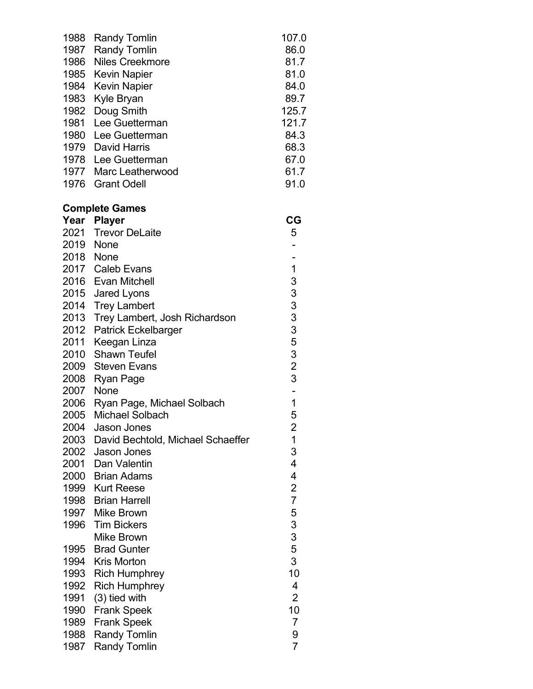| 1988 | <b>Randy Tomlin</b>    | 107.0 |
|------|------------------------|-------|
| 1987 | <b>Randy Tomlin</b>    | 86.0  |
| 1986 | <b>Niles Creekmore</b> | 81.7  |
|      | 1985 Kevin Napier      | 81.0  |
|      | 1984 Kevin Napier      | 84.0  |
| 1983 | Kyle Bryan             | 89.7  |
| 1982 | Doug Smith             | 125.7 |
| 1981 | Lee Guetterman         | 121.7 |
| 1980 | Lee Guetterman         | 84.3  |
| 1979 | <b>David Harris</b>    | 68.3  |
| 1978 | Lee Guetterman         | 67.0  |
| 1977 | Marc Leatherwood       | 61.7  |
| 1976 | <b>Grant Odell</b>     | 91.0  |
|      |                        |       |

### **Complete Games**

| Year | <b>Player</b>                     | CG                       |
|------|-----------------------------------|--------------------------|
| 2021 | <b>Trevor DeLaite</b>             | 5                        |
| 2019 | None                              |                          |
| 2018 | None                              |                          |
| 2017 | <b>Caleb Evans</b>                | $\overline{1}$           |
| 2016 | <b>Evan Mitchell</b>              | 3                        |
| 2015 | <b>Jared Lyons</b>                | 33335323                 |
| 2014 | <b>Trey Lambert</b>               |                          |
| 2013 | Trey Lambert, Josh Richardson     |                          |
| 2012 | <b>Patrick Eckelbarger</b>        |                          |
| 2011 | Keegan Linza                      |                          |
| 2010 | <b>Shawn Teufel</b>               |                          |
| 2009 | <b>Steven Evans</b>               |                          |
| 2008 | Ryan Page                         |                          |
| 2007 | None                              |                          |
| 2006 | Ryan Page, Michael Solbach        | $\overline{\mathbf{1}}$  |
| 2005 | <b>Michael Solbach</b>            | 5                        |
| 2004 | <b>Jason Jones</b>                | $\frac{2}{1}$            |
| 2003 | David Bechtold, Michael Schaeffer |                          |
| 2002 | <b>Jason Jones</b>                | 3                        |
| 2001 | Dan Valentin                      | 4                        |
|      | 2000 Brian Adams                  | $\overline{\mathcal{A}}$ |
|      | 1999 Kurt Reese                   | $\frac{2}{7}$            |
|      | 1998 Brian Harrell                |                          |
|      | 1997 Mike Brown                   | 5<br>3<br>3              |
| 1996 | <b>Tim Bickers</b>                |                          |
|      | <b>Mike Brown</b>                 |                          |
| 1995 | <b>Brad Gunter</b>                | 5                        |
| 1994 | <b>Kris Morton</b>                | 3                        |
| 1993 | <b>Rich Humphrey</b>              | 10                       |
| 1992 | <b>Rich Humphrey</b>              | 4                        |
| 1991 | $(3)$ tied with                   | $\overline{2}$           |
| 1990 | <b>Frank Speek</b>                | 10                       |
| 1989 | <b>Frank Speek</b>                | $\overline{7}$           |
| 1988 | <b>Randy Tomlin</b>               | 9                        |
| 1987 | <b>Randy Tomlin</b>               | $\overline{7}$           |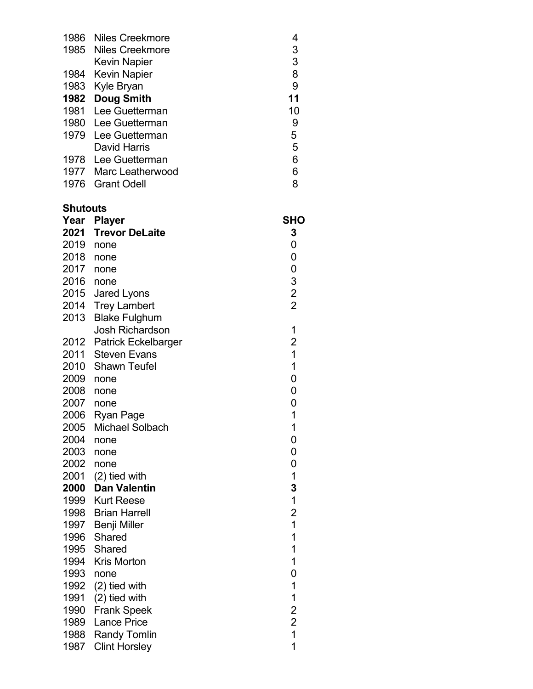| 1986 | Niles Creekmore       |    |
|------|-----------------------|----|
|      | 1985 Niles Creekmore  | 3  |
|      | <b>Kevin Napier</b>   | 3  |
|      | 1984 Kevin Napier     | 8  |
|      | 1983 Kyle Bryan       | 9  |
|      | 1982 Doug Smith       | 11 |
|      | 1981 Lee Guetterman   | 10 |
|      | 1980 Lee Guetterman   | 9  |
|      | 1979 Lee Guetterman   | 5  |
|      | David Harris          | 5  |
|      | 1978 Lee Guetterman   | 6  |
|      | 1977 Marc Leatherwood | 6  |
| 1976 | Grant Odell           | 8  |

## **Shutouts**

| Year | <b>Player</b>              | SHO                                        |
|------|----------------------------|--------------------------------------------|
| 2021 | <b>Trevor DeLaite</b>      | 3                                          |
| 2019 | none                       | 0                                          |
| 2018 | none                       | 0                                          |
| 2017 | none                       | $\mathbf 0$                                |
| 2016 | none                       |                                            |
| 2015 | Jared Lyons                | $\begin{array}{c} 3 \\ 2 \\ 2 \end{array}$ |
| 2014 | <b>Trey Lambert</b>        |                                            |
| 2013 | <b>Blake Fulghum</b>       |                                            |
|      | <b>Josh Richardson</b>     | 1                                          |
| 2012 | <b>Patrick Eckelbarger</b> | $\overline{\mathbf{c}}$                    |
| 2011 | <b>Steven Evans</b>        | $\mathbf 1$                                |
| 2010 | Shawn Teufel               | $\mathbf 1$                                |
| 2009 | none                       | $\overline{0}$                             |
| 2008 | none                       | $\overline{0}$                             |
| 2007 | none                       | 0                                          |
| 2006 | <b>Ryan Page</b>           | $\mathbf 1$                                |
| 2005 | <b>Michael Solbach</b>     | $\overline{1}$                             |
| 2004 | none                       | $\overline{0}$                             |
| 2003 | none                       | 0                                          |
| 2002 | none                       | 0                                          |
| 2001 | $(2)$ tied with            | $\mathbf 1$                                |
| 2000 | <b>Dan Valentin</b>        | 3                                          |
| 1999 | <b>Kurt Reese</b>          | $\mathbf 1$                                |
| 1998 | <b>Brian Harrell</b>       | $\overline{\mathbf{c}}$                    |
| 1997 | Benji Miller               | $\overline{1}$                             |
| 1996 | Shared                     | $\overline{1}$                             |
| 1995 | Shared                     | $\overline{1}$                             |
| 1994 | <b>Kris Morton</b>         | 1                                          |
| 1993 | none                       | $\overline{0}$                             |
| 1992 | (2) tied with              | $\mathbf 1$                                |
| 1991 | (2) tied with              | $\mathbf 1$                                |
| 1990 | <b>Frank Speek</b>         | $\begin{array}{c} 2 \\ 2 \\ 1 \end{array}$ |
| 1989 | <b>Lance Price</b>         |                                            |
| 1988 | <b>Randy Tomlin</b>        |                                            |
| 1987 | <b>Clint Horsley</b>       | $\overline{1}$                             |